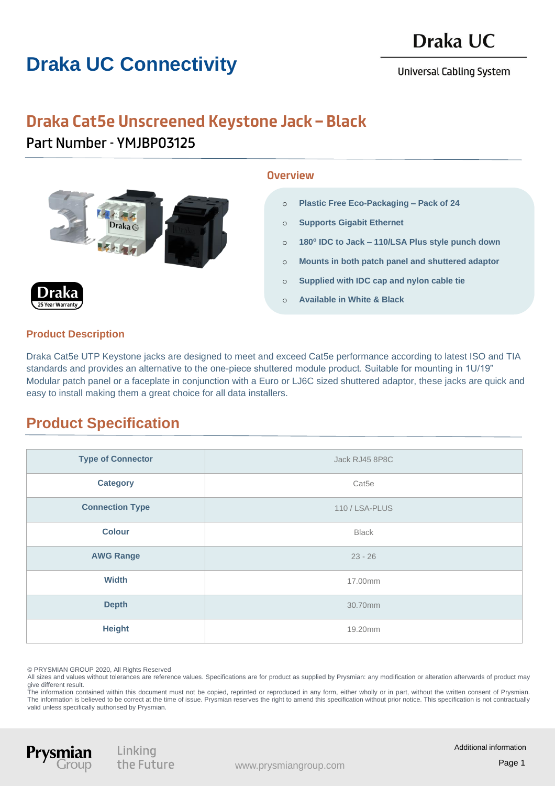# **Draka UC Connectivity**

**Universal Cabling System** 

# **Draka Cat5e Unscreened Keystone Jack – Black**

Part Number - YMJBP03125

#### **Overview**

- o **Plastic Free Eco-Packaging – Pack of 24**
- o **Supports Gigabit Ethernet**
- o **180<sup>o</sup> IDC to Jack – 110/LSA Plus style punch down**
- o **Mounts in both patch panel and shuttered adaptor**
- o **Supplied with IDC cap and nylon cable tie**
- o **Available in White & Black**



### **Product Description**

Draka Cat5e UTP Keystone jacks are designed to meet and exceed Cat5e performance according to latest ISO and TIA standards and provides an alternative to the one-piece shuttered module product. Suitable for mounting in 1U/19" Modular patch panel or a faceplate in conjunction with a Euro or LJ6C sized shuttered adaptor, these jacks are quick and easy to install making them a great choice for all data installers.

### **Product Specification**

| <b>Type of Connector</b> | Jack RJ45 8P8C    |
|--------------------------|-------------------|
| <b>Category</b>          | Cat <sub>5e</sub> |
| <b>Connection Type</b>   | 110 / LSA-PLUS    |
| <b>Colour</b>            | <b>Black</b>      |
| <b>AWG Range</b>         | $23 - 26$         |
| <b>Width</b>             | 17.00mm           |
| <b>Depth</b>             | 30.70mm           |
| <b>Height</b>            | 19.20mm           |

© PRYSMIAN GROUP 2020, All Rights Reserved

All sizes and values without tolerances are reference values. Specifications are for product as supplied by Prysmian: any modification or alteration afterwards of product may give different result.

The information contained within this document must not be copied, reprinted or reproduced in any form, either wholly or in part, without the written consent of Prysmian. The information is believed to be correct at the time of issue. Prysmian reserves the right to amend this specification without prior notice. This specification is not contractually valid unless specifically authorised by Prysmian.



Linking the Future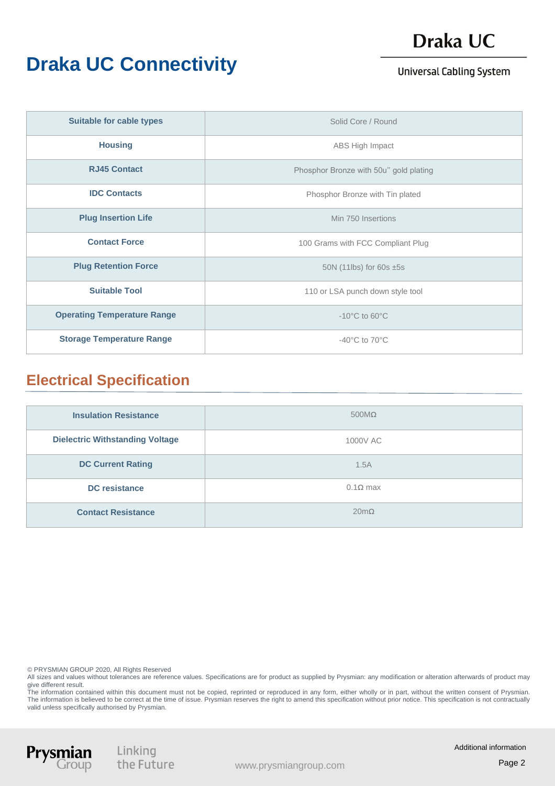# **Draka UC Connectivity**

# Draka UC

#### **Universal Cabling System**

| <b>Suitable for cable types</b>    | Solid Core / Round                     |
|------------------------------------|----------------------------------------|
| <b>Housing</b>                     | ABS High Impact                        |
| <b>RJ45 Contact</b>                | Phosphor Bronze with 50u" gold plating |
| <b>IDC Contacts</b>                | Phosphor Bronze with Tin plated        |
| <b>Plug Insertion Life</b>         | Min 750 Insertions                     |
| <b>Contact Force</b>               | 100 Grams with FCC Compliant Plug      |
| <b>Plug Retention Force</b>        | 50N (11lbs) for 60s $\pm$ 5s           |
| <b>Suitable Tool</b>               | 110 or LSA punch down style tool       |
| <b>Operating Temperature Range</b> | $-10^{\circ}$ C to 60 $^{\circ}$ C     |
| <b>Storage Temperature Range</b>   | -40 $^{\circ}$ C to 70 $^{\circ}$ C    |

### **Electrical Specification**

| <b>Insulation Resistance</b>           | $500M\Omega$        |
|----------------------------------------|---------------------|
| <b>Dielectric Withstanding Voltage</b> | 1000V AC            |
| <b>DC Current Rating</b>               | 1.5A                |
| <b>DC</b> resistance                   | $0.1\Omega$ max     |
| <b>Contact Resistance</b>              | $20 \text{m}\Omega$ |

© PRYSMIAN GROUP 2020, All Rights Reserved

All sizes and values without tolerances are reference values. Specifications are for product as supplied by Prysmian: any modification or alteration afterwards of product may give different result.

The information contained within this document must not be copied, reprinted or reproduced in any form, either wholly or in part, without the written consent of Prysmian. The information is believed to be correct at the time of issue. Prysmian reserves the right to amend this specification without prior notice. This specification is not contractually valid unless specifically authorised by Prysmian.



Linking<br>the Future

Additional information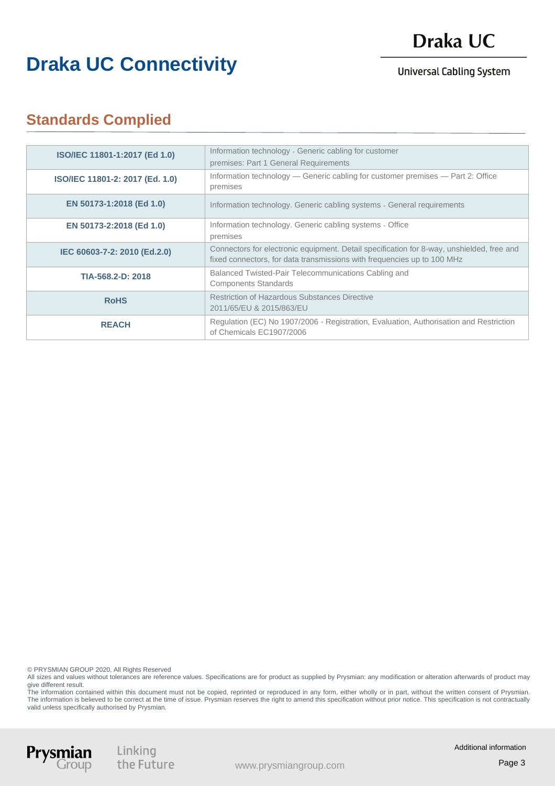### Draka UC

## **Draka UC Connectivity**

**Universal Cabling System** 

### **Standards Complied**

| ISO/IEC 11801-1:2017 (Ed 1.0)   | Information technology - Generic cabling for customer<br>premises: Part 1 General Requirements                                                                       |
|---------------------------------|----------------------------------------------------------------------------------------------------------------------------------------------------------------------|
| ISO/IEC 11801-2: 2017 (Ed. 1.0) | Information technology — Generic cabling for customer premises — Part 2: Office<br>premises                                                                          |
| EN 50173-1:2018 (Ed 1.0)        | Information technology. Generic cabling systems - General requirements                                                                                               |
| EN 50173-2:2018 (Ed 1.0)        | Information technology. Generic cabling systems - Office<br>premises                                                                                                 |
| IEC 60603-7-2: 2010 (Ed.2.0)    | Connectors for electronic equipment. Detail specification for 8-way, unshielded, free and<br>fixed connectors, for data transmissions with frequencies up to 100 MHz |
| TIA-568.2-D: 2018               | Balanced Twisted-Pair Telecommunications Cabling and<br><b>Components Standards</b>                                                                                  |
| <b>RoHS</b>                     | <b>Restriction of Hazardous Substances Directive</b><br>2011/65/EU & 2015/863/EU                                                                                     |
| <b>REACH</b>                    | Regulation (EC) No 1907/2006 - Registration, Evaluation, Authorisation and Restriction<br>of Chemicals EC1907/2006                                                   |

© PRYSMIAN GROUP 2020, All Rights Reserved

All sizes and values without tolerances are reference values. Specifications are for product as supplied by Prysmian: any modification or alteration afterwards of product may give different result.

The information contained within this document must not be copied, reprinted or reproduced in any form, either wholly or in part, without the written consent of Prysmian. The information is believed to be correct at the time of issue. Prysmian reserves the right to amend this specification without prior notice. This specification is not contractually valid unless specifically authorised by Prysmian.